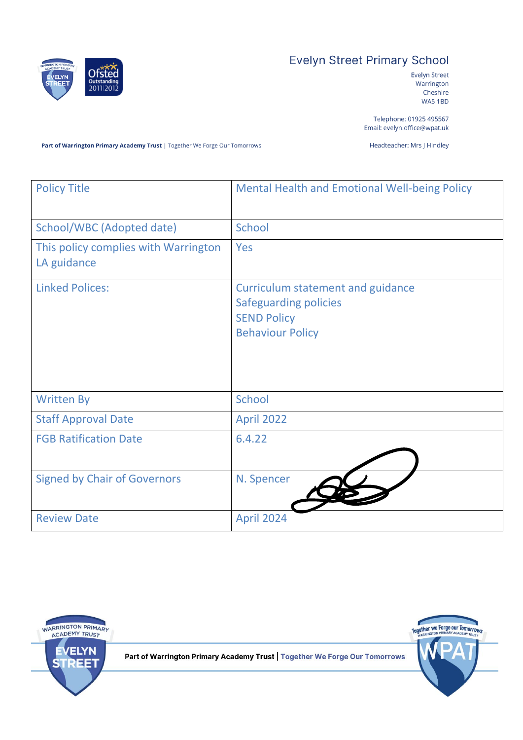

# **Evelyn Street Primary School**

Evelyn Street Warrington Cheshire WA5 1BD

Telephone: 01925 495567 Email: evelyn.office@wpat.uk

Part of Warrington Primary Academy Trust | Together We Forge Our Tomorrows

Headteacher: Mrs J Hindley

| <b>Policy Title</b>                                 | <b>Mental Health and Emotional Well-being Policy</b>                                                                      |
|-----------------------------------------------------|---------------------------------------------------------------------------------------------------------------------------|
| School/WBC (Adopted date)                           | School                                                                                                                    |
| This policy complies with Warrington<br>LA guidance | Yes                                                                                                                       |
| <b>Linked Polices:</b>                              | <b>Curriculum statement and guidance</b><br><b>Safeguarding policies</b><br><b>SEND Policy</b><br><b>Behaviour Policy</b> |
| <b>Written By</b>                                   | School                                                                                                                    |
| <b>Staff Approval Date</b>                          | <b>April 2022</b>                                                                                                         |
| <b>FGB Ratification Date</b>                        | 6.4.22                                                                                                                    |
| <b>Signed by Chair of Governors</b>                 | N. Spencer                                                                                                                |
| <b>Review Date</b>                                  | <b>April 2024</b>                                                                                                         |



Part of Warrington Primary Academy Trust | Together We Forge Our Tomorrows

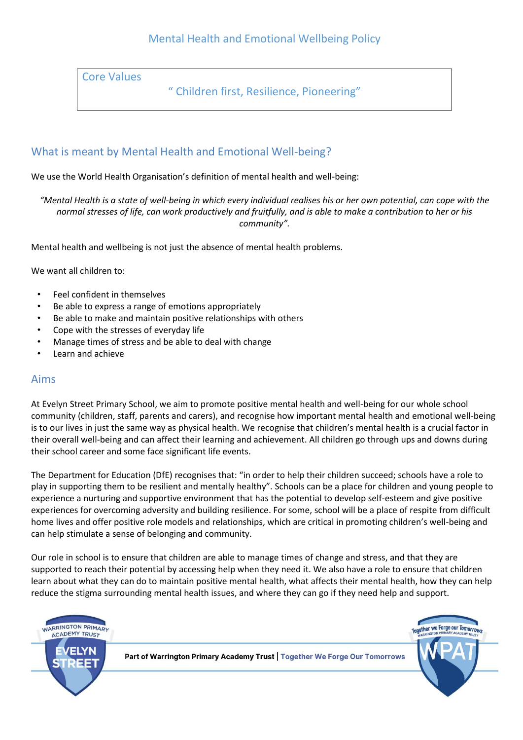### Mental Health and Emotional Wellbeing Policy

Core Values

" Children first, Resilience, Pioneering"

#### What is meant by Mental Health and Emotional Well-being?

We use the World Health Organisation's definition of mental health and well-being:

*"Mental Health is a state of well-being in which every individual realises his or her own potential, can cope with the normal stresses of life, can work productively and fruitfully, and is able to make a contribution to her or his community".*

Mental health and wellbeing is not just the absence of mental health problems.

We want all children to:

- Feel confident in themselves
- Be able to express a range of emotions appropriately
- Be able to make and maintain positive relationships with others
- Cope with the stresses of everyday life
- Manage times of stress and be able to deal with change
- Learn and achieve

#### Aims

At Evelyn Street Primary School, we aim to promote positive mental health and well-being for our whole school community (children, staff, parents and carers), and recognise how important mental health and emotional well-being is to our lives in just the same way as physical health. We recognise that children's mental health is a crucial factor in their overall well-being and can affect their learning and achievement. All children go through ups and downs during their school career and some face significant life events.

The Department for Education (DfE) recognises that: "in order to help their children succeed; schools have a role to play in supporting them to be resilient and mentally healthy". Schools can be a place for children and young people to experience a nurturing and supportive environment that has the potential to develop self-esteem and give positive experiences for overcoming adversity and building resilience. For some, school will be a place of respite from difficult home lives and offer positive role models and relationships, which are critical in promoting children's well-being and can help stimulate a sense of belonging and community.

Our role in school is to ensure that children are able to manage times of change and stress, and that they are supported to reach their potential by accessing help when they need it. We also have a role to ensure that children learn about what they can do to maintain positive mental health, what affects their mental health, how they can help reduce the stigma surrounding mental health issues, and where they can go if they need help and support.

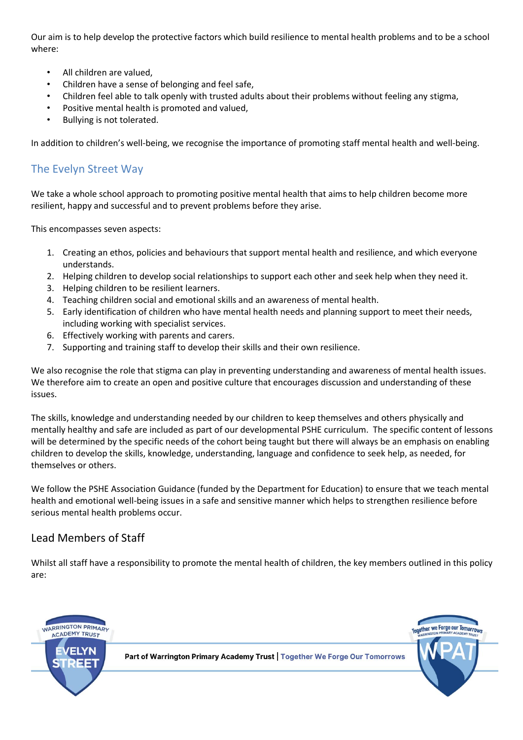Our aim is to help develop the protective factors which build resilience to mental health problems and to be a school where:

- All children are valued,
- Children have a sense of belonging and feel safe,
- Children feel able to talk openly with trusted adults about their problems without feeling any stigma,
- Positive mental health is promoted and valued,
- Bullying is not tolerated.

In addition to children's well-being, we recognise the importance of promoting staff mental health and well-being.

#### The Evelyn Street Way

We take a whole school approach to promoting positive mental health that aims to help children become more resilient, happy and successful and to prevent problems before they arise.

This encompasses seven aspects:

- 1. Creating an ethos, policies and behaviours that support mental health and resilience, and which everyone understands.
- 2. Helping children to develop social relationships to support each other and seek help when they need it.
- 3. Helping children to be resilient learners.
- 4. Teaching children social and emotional skills and an awareness of mental health.
- 5. Early identification of children who have mental health needs and planning support to meet their needs, including working with specialist services.
- 6. Effectively working with parents and carers.
- 7. Supporting and training staff to develop their skills and their own resilience.

We also recognise the role that stigma can play in preventing understanding and awareness of mental health issues. We therefore aim to create an open and positive culture that encourages discussion and understanding of these issues.

The skills, knowledge and understanding needed by our children to keep themselves and others physically and mentally healthy and safe are included as part of our developmental PSHE curriculum. The specific content of lessons will be determined by the specific needs of the cohort being taught but there will always be an emphasis on enabling children to develop the skills, knowledge, understanding, language and confidence to seek help, as needed, for themselves or others.

We follow the PSHE Association Guidance (funded by the Department for Education) to ensure that we teach mental health and emotional well-being issues in a safe and sensitive manner which helps to strengthen resilience before serious mental health problems occur.

#### Lead Members of Staff

Whilst all staff have a responsibility to promote the mental health of children, the key members outlined in this policy are:

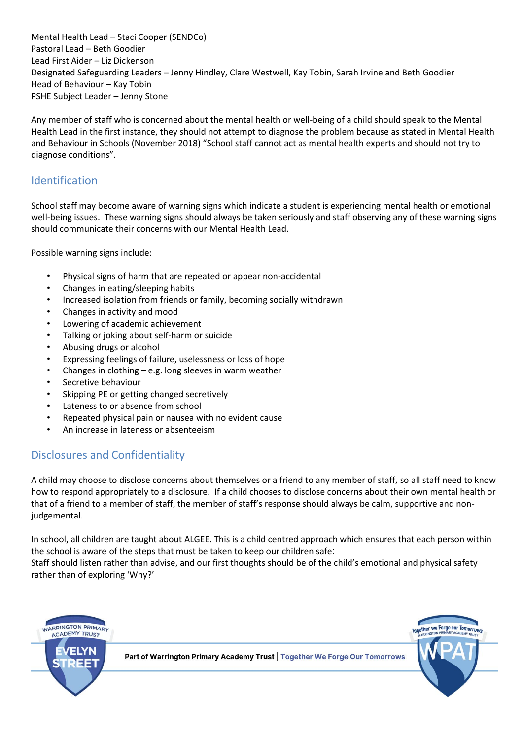Mental Health Lead – Staci Cooper (SENDCo) Pastoral Lead – Beth Goodier Lead First Aider – Liz Dickenson Designated Safeguarding Leaders – Jenny Hindley, Clare Westwell, Kay Tobin, Sarah Irvine and Beth Goodier Head of Behaviour – Kay Tobin PSHE Subject Leader – Jenny Stone

Any member of staff who is concerned about the mental health or well-being of a child should speak to the Mental Health Lead in the first instance, they should not attempt to diagnose the problem because as stated in Mental Health and Behaviour in Schools (November 2018) "School staff cannot act as mental health experts and should not try to diagnose conditions".

### Identification

School staff may become aware of warning signs which indicate a student is experiencing mental health or emotional well-being issues. These warning signs should always be taken seriously and staff observing any of these warning signs should communicate their concerns with our Mental Health Lead.

Possible warning signs include:

- Physical signs of harm that are repeated or appear non-accidental
- Changes in eating/sleeping habits
- Increased isolation from friends or family, becoming socially withdrawn
- Changes in activity and mood
- Lowering of academic achievement
- Talking or joking about self-harm or suicide
- Abusing drugs or alcohol
- Expressing feelings of failure, uselessness or loss of hope
- Changes in clothing  $-e.g.$  long sleeves in warm weather
- Secretive behaviour
- Skipping PE or getting changed secretively
- Lateness to or absence from school
- Repeated physical pain or nausea with no evident cause
- An increase in lateness or absenteeism

### Disclosures and Confidentiality

A child may choose to disclose concerns about themselves or a friend to any member of staff, so all staff need to know how to respond appropriately to a disclosure. If a child chooses to disclose concerns about their own mental health or that of a friend to a member of staff, the member of staff's response should always be calm, supportive and nonjudgemental.

In school, all children are taught about ALGEE. This is a child centred approach which ensures that each person within the school is aware of the steps that must be taken to keep our children safe:

Staff should listen rather than advise, and our first thoughts should be of the child's emotional and physical safety rather than of exploring 'Why?'

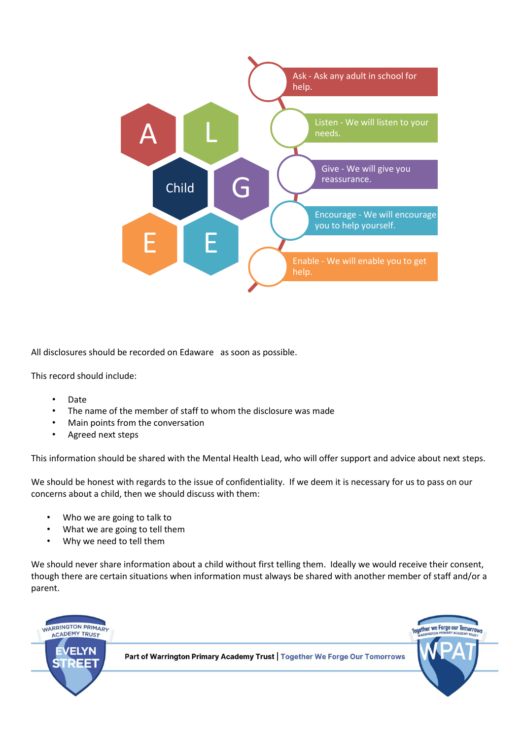

All disclosures should be recorded on Edaware as soon as possible.

This record should include:

- Date
- The name of the member of staff to whom the disclosure was made
- Main points from the conversation
- Agreed next steps

This information should be shared with the Mental Health Lead, who will offer support and advice about next steps.

We should be honest with regards to the issue of confidentiality. If we deem it is necessary for us to pass on our concerns about a child, then we should discuss with them:

- Who we are going to talk to
- What we are going to tell them
- Why we need to tell them

We should never share information about a child without first telling them. Ideally we would receive their consent, though there are certain situations when information must always be shared with another member of staff and/or a parent.

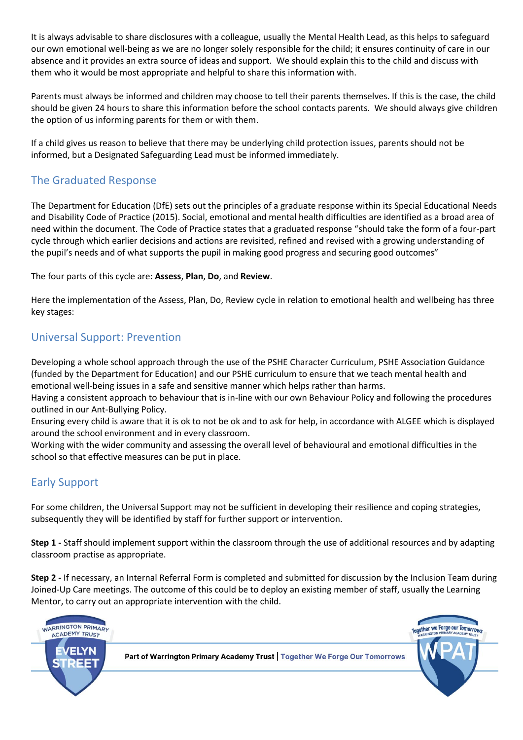It is always advisable to share disclosures with a colleague, usually the Mental Health Lead, as this helps to safeguard our own emotional well-being as we are no longer solely responsible for the child; it ensures continuity of care in our absence and it provides an extra source of ideas and support. We should explain this to the child and discuss with them who it would be most appropriate and helpful to share this information with.

Parents must always be informed and children may choose to tell their parents themselves. If this is the case, the child should be given 24 hours to share this information before the school contacts parents. We should always give children the option of us informing parents for them or with them.

If a child gives us reason to believe that there may be underlying child protection issues, parents should not be informed, but a Designated Safeguarding Lead must be informed immediately.

# The Graduated Response

The Department for Education (DfE) sets out the principles of a graduate response within its Special Educational Needs and Disability Code of Practice (2015). Social, emotional and mental health difficulties are identified as a broad area of need within the document. The Code of Practice states that a graduated response "should take the form of a four-part cycle through which earlier decisions and actions are revisited, refined and revised with a growing understanding of the pupil's needs and of what supports the pupil in making good progress and securing good outcomes"

The four parts of this cycle are: **Assess**, **Plan**, **Do**, and **Review**.

Here the implementation of the Assess, Plan, Do, Review cycle in relation to emotional health and wellbeing has three key stages:

### Universal Support: Prevention

Developing a whole school approach through the use of the PSHE Character Curriculum, PSHE Association Guidance (funded by the Department for Education) and our PSHE curriculum to ensure that we teach mental health and emotional well-being issues in a safe and sensitive manner which helps rather than harms.

Having a consistent approach to behaviour that is in-line with our own Behaviour Policy and following the procedures outlined in our Ant-Bullying Policy.

Ensuring every child is aware that it is ok to not be ok and to ask for help, in accordance with ALGEE which is displayed around the school environment and in every classroom.

Working with the wider community and assessing the overall level of behavioural and emotional difficulties in the school so that effective measures can be put in place.

### Early Support

For some children, the Universal Support may not be sufficient in developing their resilience and coping strategies, subsequently they will be identified by staff for further support or intervention.

**Step 1 -** Staff should implement support within the classroom through the use of additional resources and by adapting classroom practise as appropriate.

**Step 2 -** If necessary, an Internal Referral Form is completed and submitted for discussion by the Inclusion Team during Joined-Up Care meetings. The outcome of this could be to deploy an existing member of staff, usually the Learning Mentor, to carry out an appropriate intervention with the child.

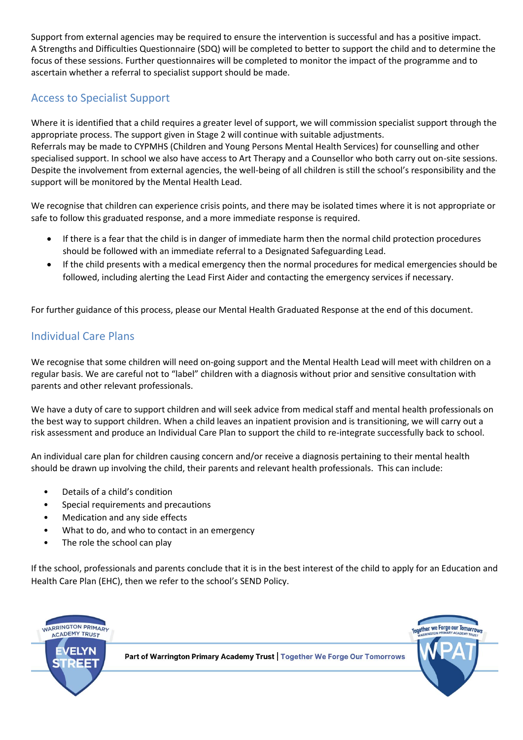Support from external agencies may be required to ensure the intervention is successful and has a positive impact. A Strengths and Difficulties Questionnaire (SDQ) will be completed to better to support the child and to determine the focus of these sessions. Further questionnaires will be completed to monitor the impact of the programme and to ascertain whether a referral to specialist support should be made.

# Access to Specialist Support

Where it is identified that a child requires a greater level of support, we will commission specialist support through the appropriate process. The support given in Stage 2 will continue with suitable adjustments. Referrals may be made to CYPMHS (Children and Young Persons Mental Health Services) for counselling and other specialised support. In school we also have access to Art Therapy and a Counsellor who both carry out on-site sessions. Despite the involvement from external agencies, the well-being of all children is still the school's responsibility and the support will be monitored by the Mental Health Lead.

We recognise that children can experience crisis points, and there may be isolated times where it is not appropriate or safe to follow this graduated response, and a more immediate response is required.

- If there is a fear that the child is in danger of immediate harm then the normal child protection procedures should be followed with an immediate referral to a Designated Safeguarding Lead.
- If the child presents with a medical emergency then the normal procedures for medical emergencies should be followed, including alerting the Lead First Aider and contacting the emergency services if necessary.

For further guidance of this process, please our Mental Health Graduated Response at the end of this document.

# Individual Care Plans

We recognise that some children will need on-going support and the Mental Health Lead will meet with children on a regular basis. We are careful not to "label" children with a diagnosis without prior and sensitive consultation with parents and other relevant professionals.

We have a duty of care to support children and will seek advice from medical staff and mental health professionals on the best way to support children. When a child leaves an inpatient provision and is transitioning, we will carry out a risk assessment and produce an Individual Care Plan to support the child to re-integrate successfully back to school.

An individual care plan for children causing concern and/or receive a diagnosis pertaining to their mental health should be drawn up involving the child, their parents and relevant health professionals. This can include:

- Details of a child's condition
- Special requirements and precautions
- Medication and any side effects
- What to do, and who to contact in an emergency
- The role the school can play

If the school, professionals and parents conclude that it is in the best interest of the child to apply for an Education and Health Care Plan (EHC), then we refer to the school's SEND Policy.

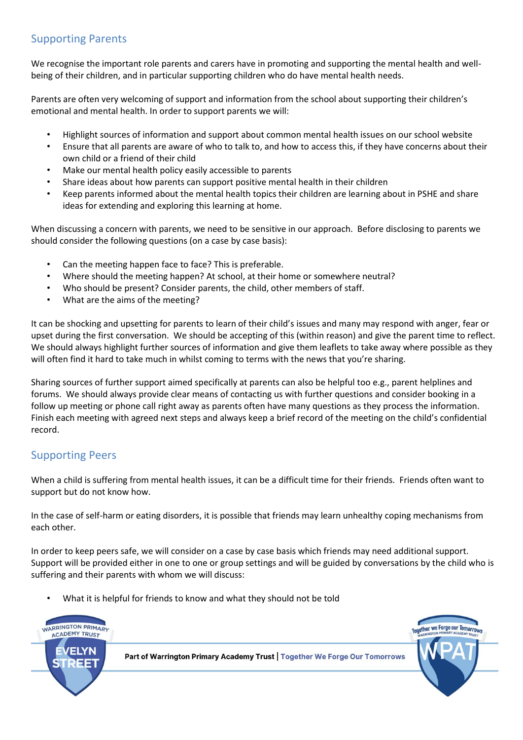### Supporting Parents

We recognise the important role parents and carers have in promoting and supporting the mental health and wellbeing of their children, and in particular supporting children who do have mental health needs.

Parents are often very welcoming of support and information from the school about supporting their children's emotional and mental health. In order to support parents we will:

- Highlight sources of information and support about common mental health issues on our school website
- Ensure that all parents are aware of who to talk to, and how to access this, if they have concerns about their own child or a friend of their child
- Make our mental health policy easily accessible to parents
- Share ideas about how parents can support positive mental health in their children
- Keep parents informed about the mental health topics their children are learning about in PSHE and share ideas for extending and exploring this learning at home.

When discussing a concern with parents, we need to be sensitive in our approach. Before disclosing to parents we should consider the following questions (on a case by case basis):

- Can the meeting happen face to face? This is preferable.
- Where should the meeting happen? At school, at their home or somewhere neutral?
- Who should be present? Consider parents, the child, other members of staff.
- What are the aims of the meeting?

It can be shocking and upsetting for parents to learn of their child's issues and many may respond with anger, fear or upset during the first conversation. We should be accepting of this (within reason) and give the parent time to reflect. We should always highlight further sources of information and give them leaflets to take away where possible as they will often find it hard to take much in whilst coming to terms with the news that you're sharing.

Sharing sources of further support aimed specifically at parents can also be helpful too e.g., parent helplines and forums. We should always provide clear means of contacting us with further questions and consider booking in a follow up meeting or phone call right away as parents often have many questions as they process the information. Finish each meeting with agreed next steps and always keep a brief record of the meeting on the child's confidential record.

### Supporting Peers

When a child is suffering from mental health issues, it can be a difficult time for their friends. Friends often want to support but do not know how.

In the case of self-harm or eating disorders, it is possible that friends may learn unhealthy coping mechanisms from each other.

In order to keep peers safe, we will consider on a case by case basis which friends may need additional support. Support will be provided either in one to one or group settings and will be guided by conversations by the child who is suffering and their parents with whom we will discuss:

What it is helpful for friends to know and what they should not be told

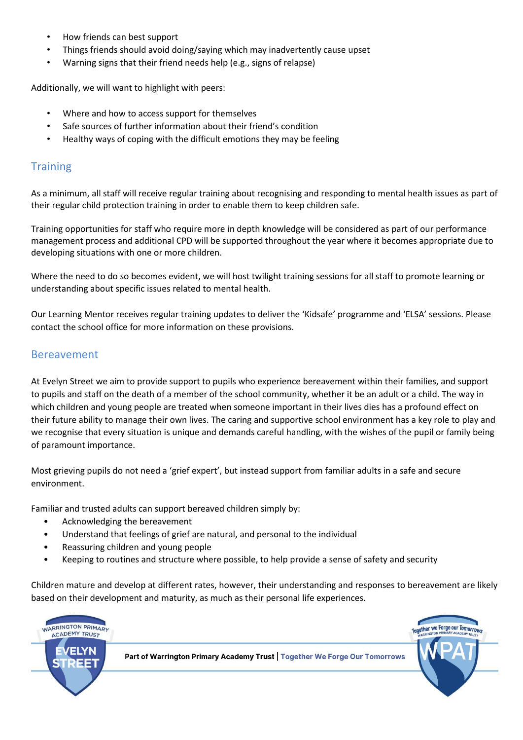- How friends can best support
- Things friends should avoid doing/saying which may inadvertently cause upset
- Warning signs that their friend needs help (e.g., signs of relapse)

Additionally, we will want to highlight with peers:

- Where and how to access support for themselves
- Safe sources of further information about their friend's condition
- Healthy ways of coping with the difficult emotions they may be feeling

#### **Training**

As a minimum, all staff will receive regular training about recognising and responding to mental health issues as part of their regular child protection training in order to enable them to keep children safe.

Training opportunities for staff who require more in depth knowledge will be considered as part of our performance management process and additional CPD will be supported throughout the year where it becomes appropriate due to developing situations with one or more children.

Where the need to do so becomes evident, we will host twilight training sessions for all staff to promote learning or understanding about specific issues related to mental health.

Our Learning Mentor receives regular training updates to deliver the 'Kidsafe' programme and 'ELSA' sessions. Please contact the school office for more information on these provisions.

#### Bereavement

At Evelyn Street we aim to provide support to pupils who experience bereavement within their families, and support to pupils and staff on the death of a member of the school community, whether it be an adult or a child. The way in which children and young people are treated when someone important in their lives dies has a profound effect on their future ability to manage their own lives. The caring and supportive school environment has a key role to play and we recognise that every situation is unique and demands careful handling, with the wishes of the pupil or family being of paramount importance.

Most grieving pupils do not need a 'grief expert', but instead support from familiar adults in a safe and secure environment.

Familiar and trusted adults can support bereaved children simply by:

- Acknowledging the bereavement
- Understand that feelings of grief are natural, and personal to the individual
- Reassuring children and young people
- Keeping to routines and structure where possible, to help provide a sense of safety and security

Children mature and develop at different rates, however, their understanding and responses to bereavement are likely based on their development and maturity, as much as their personal life experiences.

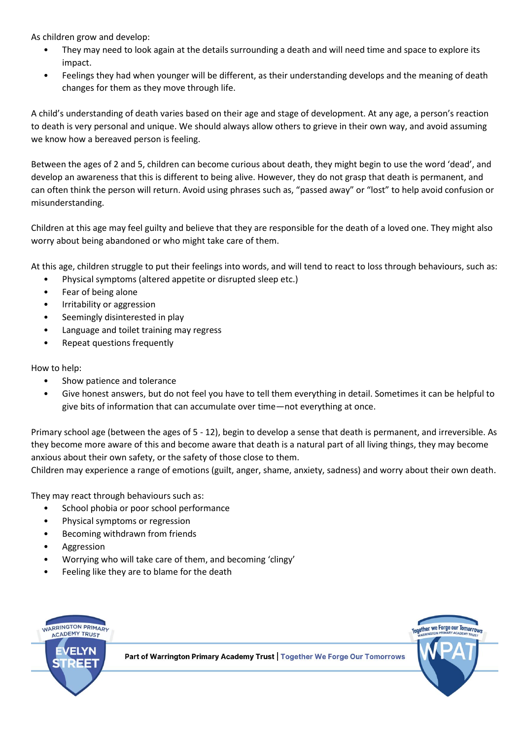As children grow and develop:

- They may need to look again at the details surrounding a death and will need time and space to explore its impact.
- Feelings they had when younger will be different, as their understanding develops and the meaning of death changes for them as they move through life.

A child's understanding of death varies based on their age and stage of development. At any age, a person's reaction to death is very personal and unique. We should always allow others to grieve in their own way, and avoid assuming we know how a bereaved person is feeling.

Between the ages of 2 and 5, children can become curious about death, they might begin to use the word 'dead', and develop an awareness that this is different to being alive. However, they do not grasp that death is permanent, and can often think the person will return. Avoid using phrases such as, "passed away" or "lost" to help avoid confusion or misunderstanding.

Children at this age may feel guilty and believe that they are responsible for the death of a loved one. They might also worry about being abandoned or who might take care of them.

At this age, children struggle to put their feelings into words, and will tend to react to loss through behaviours, such as:

- Physical symptoms (altered appetite or disrupted sleep etc.)
- Fear of being alone
- Irritability or aggression
- Seemingly disinterested in play
- Language and toilet training may regress
- Repeat questions frequently

How to help:

- Show patience and tolerance
- Give honest answers, but do not feel you have to tell them everything in detail. Sometimes it can be helpful to give bits of information that can accumulate over time—not everything at once.

Primary school age (between the ages of 5 - 12), begin to develop a sense that death is permanent, and irreversible. As they become more aware of this and become aware that death is a natural part of all living things, they may become anxious about their own safety, or the safety of those close to them.

Children may experience a range of emotions (guilt, anger, shame, anxiety, sadness) and worry about their own death.

They may react through behaviours such as:

- School phobia or poor school performance
- Physical symptoms or regression
- Becoming withdrawn from friends
- **Aggression**
- Worrying who will take care of them, and becoming 'clingy'
- Feeling like they are to blame for the death

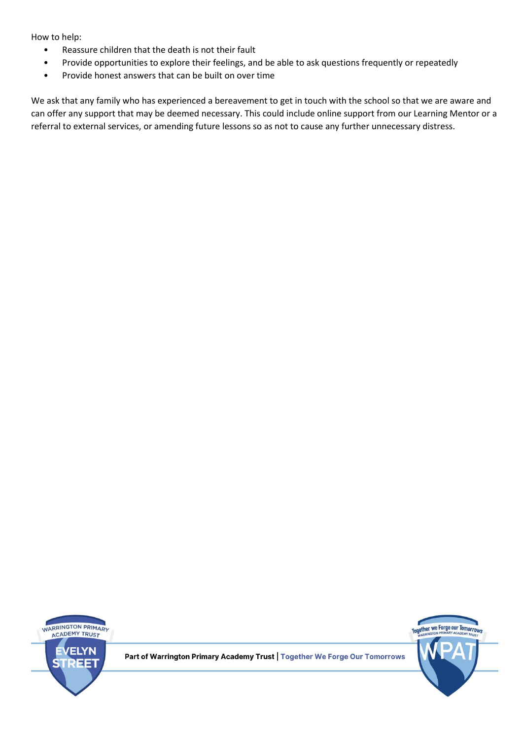How to help:

- Reassure children that the death is not their fault
- Provide opportunities to explore their feelings, and be able to ask questions frequently or repeatedly
- Provide honest answers that can be built on over time

We ask that any family who has experienced a bereavement to get in touch with the school so that we are aware and can offer any support that may be deemed necessary. This could include online support from our Learning Mentor or a referral to external services, or amending future lessons so as not to cause any further unnecessary distress.





Part of Warrington Primary Academy Trust | Together We Forge Our Tomorrows